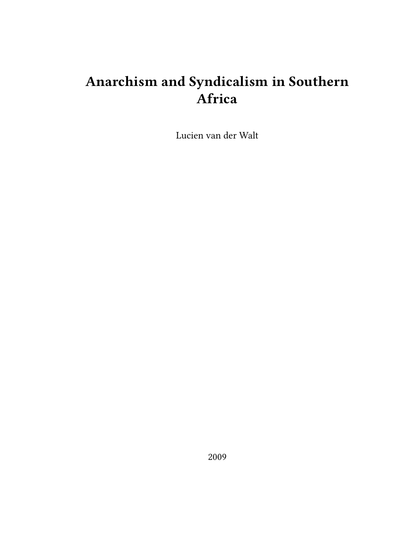# **Anarchism and Syndicalism in Southern Africa**

Lucien van der Walt

2009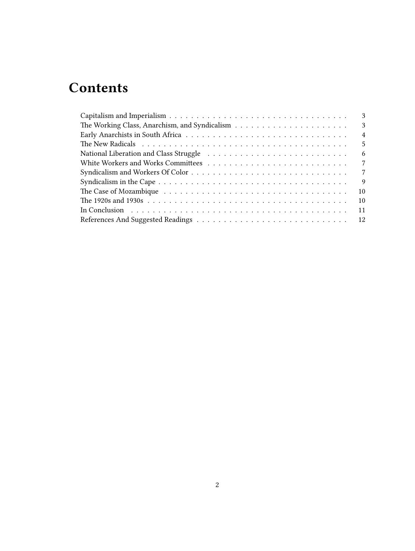## **Contents**

|                                                                                                               | 3               |
|---------------------------------------------------------------------------------------------------------------|-----------------|
|                                                                                                               | 3               |
|                                                                                                               | $\overline{4}$  |
|                                                                                                               | .5              |
|                                                                                                               | -6              |
|                                                                                                               | $\overline{7}$  |
|                                                                                                               | $7\phantom{.0}$ |
| Syndicalism in the Cape $\dots \dots \dots \dots \dots \dots \dots \dots \dots \dots \dots \dots \dots \dots$ | 9               |
|                                                                                                               | 10              |
|                                                                                                               | 10              |
| In Conclusion $\ldots \ldots \ldots \ldots \ldots \ldots \ldots \ldots \ldots \ldots \ldots \ldots \ldots$    | 11              |
|                                                                                                               |                 |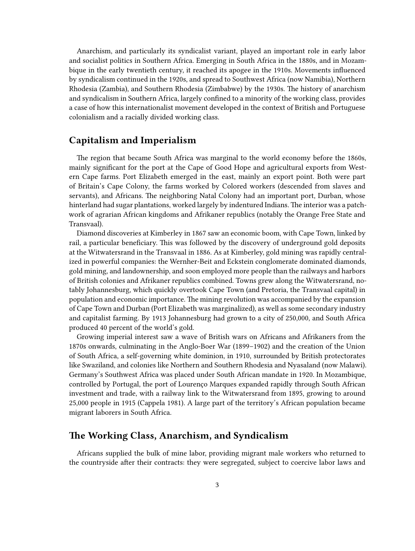Anarchism, and particularly its syndicalist variant, played an important role in early labor and socialist politics in Southern Africa. Emerging in South Africa in the 1880s, and in Mozambique in the early twentieth century, it reached its apogee in the 1910s. Movements influenced by syndicalism continued in the 1920s, and spread to Southwest Africa (now Namibia), Northern Rhodesia (Zambia), and Southern Rhodesia (Zimbabwe) by the 1930s. The history of anarchism and syndicalism in Southern Africa, largely confined to a minority of the working class, provides a case of how this internationalist movement developed in the context of British and Portuguese colonialism and a racially divided working class.

## <span id="page-2-0"></span>**Capitalism and Imperialism**

The region that became South Africa was marginal to the world economy before the 1860s, mainly significant for the port at the Cape of Good Hope and agricultural exports from Western Cape farms. Port Elizabeth emerged in the east, mainly an export point. Both were part of Britain's Cape Colony, the farms worked by Colored workers (descended from slaves and servants), and Africans. The neighboring Natal Colony had an important port, Durban, whose hinterland had sugar plantations, worked largely by indentured Indians. The interior was a patchwork of agrarian African kingdoms and Afrikaner republics (notably the Orange Free State and Transvaal).

Diamond discoveries at Kimberley in 1867 saw an economic boom, with Cape Town, linked by rail, a particular beneficiary. This was followed by the discovery of underground gold deposits at the Witwatersrand in the Transvaal in 1886. As at Kimberley, gold mining was rapidly centralized in powerful companies: the Wernher-Beit and Eckstein conglomerate dominated diamonds, gold mining, and landownership, and soon employed more people than the railways and harbors of British colonies and Afrikaner republics combined. Towns grew along the Witwatersrand, notably Johannesburg, which quickly overtook Cape Town (and Pretoria, the Transvaal capital) in population and economic importance. The mining revolution was accompanied by the expansion of Cape Town and Durban (Port Elizabeth was marginalized), as well as some secondary industry and capitalist farming. By 1913 Johannesburg had grown to a city of 250,000, and South Africa produced 40 percent of the world's gold.

Growing imperial interest saw a wave of British wars on Africans and Afrikaners from the 1870s onwards, culminating in the Anglo-Boer War (1899–1902) and the creation of the Union of South Africa, a self-governing white dominion, in 1910, surrounded by British protectorates like Swaziland, and colonies like Northern and Southern Rhodesia and Nyasaland (now Malawi). Germany's Southwest Africa was placed under South African mandate in 1920. In Mozambique, controlled by Portugal, the port of Lourenço Marques expanded rapidly through South African investment and trade, with a railway link to the Witwatersrand from 1895, growing to around 25,000 people in 1915 (Cappela 1981). A large part of the territory's African population became migrant laborers in South Africa.

## <span id="page-2-1"></span>**The Working Class, Anarchism, and Syndicalism**

Africans supplied the bulk of mine labor, providing migrant male workers who returned to the countryside after their contracts: they were segregated, subject to coercive labor laws and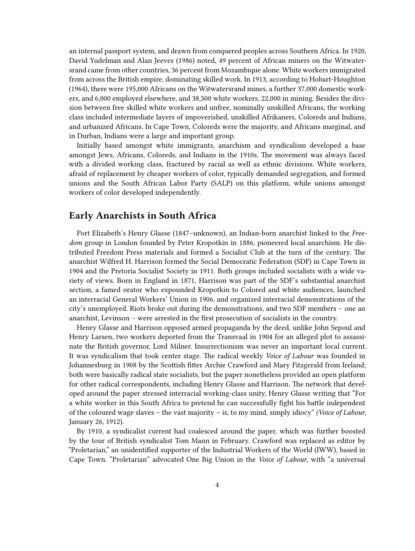an internal passport system, and drawn from conquered peoples across Southern Africa. In 1920, David Yudelman and Alan Jeeves (1986) noted, 49 percent of African miners on the Witwatersrand came from other countries, 36 percent from Mozambique alone. White workers immigrated from across the British empire, dominating skilled work. In 1913, according to Hobart-Houghton (1964), there were 195,000 Africans on the Witwatersrand mines, a further 37,000 domestic workers, and 6,000 employed elsewhere, and 38,500 white workers, 22,000 in mining. Besides the division between free skilled white workers and unfree, nominally unskilled Africans, the working class included intermediate layers of impoverished, unskilled Afrikaners, Coloreds and Indians, and urbanized Africans. In Cape Town, Coloreds were the majority, and Africans marginal, and in Durban, Indians were a large and important group.

Initially based amongst white immigrants, anarchism and syndicalism developed a base amongst Jews, Africans, Coloreds, and Indians in the 1910s. The movement was always faced with a divided working class, fractured by racial as well as ethnic divisions. White workers, afraid of replacement by cheaper workers of color, typically demanded segregation, and formed unions and the South African Labor Party (SALP) on this platform, while unions amongst workers of color developed independently.

## <span id="page-3-0"></span>**Early Anarchists in South Africa**

Port Elizabeth's Henry Glasse (1847–unknown), an Indian-born anarchist linked to the *Freedom* group in London founded by Peter Kropotkin in 1886, pioneered local anarchism. He distributed Freedom Press materials and formed a Socialist Club at the turn of the century. The anarchist Wilfred H. Harrison formed the Social Democratic Federation (SDF) in Cape Town in 1904 and the Pretoria Socialist Society in 1911. Both groups included socialists with a wide variety of views. Born in England in 1871, Harrison was part of the SDF's substantial anarchist section, a famed orator who expounded Kropotkin to Colored and white audiences, launched an interracial General Workers' Union in 1906, and organized interracial demonstrations of the city's unemployed. Riots broke out during the demonstrations, and two SDF members – one an anarchist, Levinson – were arrested in the first prosecution of socialists in the country.

Henry Glasse and Harrison opposed armed propaganda by the deed, unlike John Sepoul and Henry Larsen, two workers deported from the Transvaal in 1904 for an alleged plot to assassinate the British governor, Lord Milner. Insurrectionism was never an important local current. It was syndicalism that took center stage. The radical weekly *Voice of Labour* was founded in Johannesburg in 1908 by the Scottish fitter Archie Crawford and Mary Fitzgerald from Ireland; both were basically radical state socialists, but the paper nonetheless provided an open platform for other radical correspondents, including Henry Glasse and Harrison. The network that developed around the paper stressed interracial working-class unity, Henry Glasse writing that "For a white worker in this South Africa to pretend he can successfully fight his battle independent of the coloured wage slaves – the vast majority – is, to my mind, simply idiocy" *(Voice of Labour*, January 26, 1912).

By 1910, a syndicalist current had coalesced around the paper, which was further boosted by the tour of British syndicalist Tom Mann in February. Crawford was replaced as editor by "Proletarian," an unidentified supporter of the Industrial Workers of the World (IWW), based in Cape Town. "Proletarian" advocated One Big Union in the *Voice of Labour*, with "a universal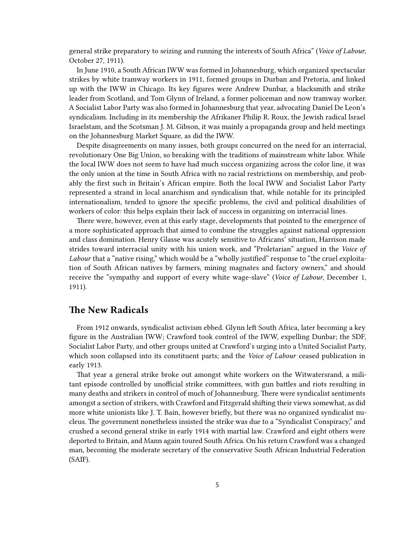general strike preparatory to seizing and running the interests of South Africa" (*Voice of Labour*, October 27, 1911).

In June 1910, a South African IWW was formed in Johannesburg, which organized spectacular strikes by white tramway workers in 1911, formed groups in Durban and Pretoria, and linked up with the IWW in Chicago. Its key figures were Andrew Dunbar, a blacksmith and strike leader from Scotland, and Tom Glynn of Ireland, a former policeman and now tramway worker. A Socialist Labor Party was also formed in Johannesburg that year, advocating Daniel De Leon's syndicalism. Including in its membership the Afrikaner Philip R. Roux, the Jewish radical Israel Israelstam, and the Scotsman J. M. Gibson, it was mainly a propaganda group and held meetings on the Johannesburg Market Square, as did the IWW.

Despite disagreements on many issues, both groups concurred on the need for an interracial, revolutionary One Big Union, so breaking with the traditions of mainstream white labor. While the local IWW does not seem to have had much success organizing across the color line, it was the only union at the time in South Africa with no racial restrictions on membership, and probably the first such in Britain's African empire. Both the local IWW and Socialist Labor Party represented a strand in local anarchism and syndicalism that, while notable for its principled internationalism, tended to ignore the specific problems, the civil and political disabilities of workers of color: this helps explain their lack of success in organizing on interracial lines.

There were, however, even at this early stage, developments that pointed to the emergence of a more sophisticated approach that aimed to combine the struggles against national oppression and class domination. Henry Glasse was acutely sensitive to Africans' situation, Harrison made strides toward interracial unity with his union work, and "Proletarian" argued in the *Voice of Labour* that a "native rising," which would be a "wholly justified" response to "the cruel exploitation of South African natives by farmers, mining magnates and factory owners," and should receive the "sympathy and support of every white wage-slave" (*Voice of Labour*, December 1, 1911).

## <span id="page-4-0"></span>**The New Radicals**

From 1912 onwards, syndicalist activism ebbed. Glynn left South Africa, later becoming a key figure in the Australian IWW; Crawford took control of the IWW, expelling Dunbar; the SDF, Socialist Labor Party, and other groups united at Crawford's urging into a United Socialist Party, which soon collapsed into its constituent parts; and the *Voice of Labour* ceased publication in early 1913.

That year a general strike broke out amongst white workers on the Witwatersrand, a militant episode controlled by unofficial strike committees, with gun battles and riots resulting in many deaths and strikers in control of much of Johannesburg. There were syndicalist sentiments amongst a section of strikers, with Crawford and Fitzgerald shifting their views somewhat, as did more white unionists like J. T. Bain, however briefly, but there was no organized syndicalist nucleus. The government nonetheless insisted the strike was due to a "Syndicalist Conspiracy," and crushed a second general strike in early 1914 with martial law. Crawford and eight others were deported to Britain, and Mann again toured South Africa. On his return Crawford was a changed man, becoming the moderate secretary of the conservative South African Industrial Federation (SAIF).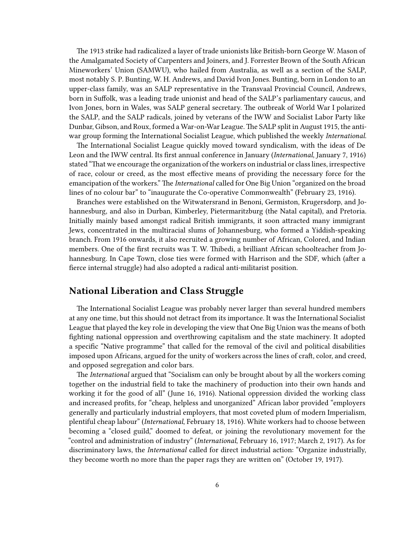The 1913 strike had radicalized a layer of trade unionists like British-born George W. Mason of the Amalgamated Society of Carpenters and Joiners, and J. Forrester Brown of the South African Mineworkers' Union (SAMWU), who hailed from Australia, as well as a section of the SALP, most notably S. P. Bunting, W. H. Andrews, and David Ivon Jones. Bunting, born in London to an upper-class family, was an SALP representative in the Transvaal Provincial Council, Andrews, born in Suffolk, was a leading trade unionist and head of the SALP's parliamentary caucus, and Ivon Jones, born in Wales, was SALP general secretary. The outbreak of World War I polarized the SALP, and the SALP radicals, joined by veterans of the IWW and Socialist Labor Party like Dunbar, Gibson, and Roux, formed a War-on-War League. The SALP split in August 1915, the antiwar group forming the International Socialist League, which published the weekly *International*.

The International Socialist League quickly moved toward syndicalism, with the ideas of De Leon and the IWW central. Its first annual conference in January (*International*, January 7, 1916) stated "That we encourage the organization of the workers on industrial or class lines, irrespective of race, colour or creed, as the most effective means of providing the necessary force for the emancipation of the workers." The *International* called for One Big Union "organized on the broad lines of no colour bar" to "inaugurate the Co-operative Commonwealth" (February 23, 1916).

Branches were established on the Witwatersrand in Benoni, Germiston, Krugersdorp, and Johannesburg, and also in Durban, Kimberley, Pietermaritzburg (the Natal capital), and Pretoria. Initially mainly based amongst radical British immigrants, it soon attracted many immigrant Jews, concentrated in the multiracial slums of Johannesburg, who formed a Yiddish-speaking branch. From 1916 onwards, it also recruited a growing number of African, Colored, and Indian members. One of the first recruits was T. W. Thibedi, a brilliant African schoolteacher from Johannesburg. In Cape Town, close ties were formed with Harrison and the SDF, which (after a fierce internal struggle) had also adopted a radical anti-militarist position.

## <span id="page-5-0"></span>**National Liberation and Class Struggle**

The International Socialist League was probably never larger than several hundred members at any one time, but this should not detract from its importance. It was the International Socialist League that played the key role in developing the view that One Big Union was the means of both fighting national oppression and overthrowing capitalism and the state machinery. It adopted a specific "Native programme" that called for the removal of the civil and political disabilities imposed upon Africans, argued for the unity of workers across the lines of craft, color, and creed, and opposed segregation and color bars.

The *International* argued that "Socialism can only be brought about by all the workers coming together on the industrial field to take the machinery of production into their own hands and working it for the good of all" (June 16, 1916). National oppression divided the working class and increased profits, for "cheap, helpless and unorganized" African labor provided "employers generally and particularly industrial employers, that most coveted plum of modern Imperialism, plentiful cheap labour" (*International*, February 18, 1916). White workers had to choose between becoming a "closed guild," doomed to defeat, or joining the revolutionary movement for the "control and administration of industry" (*International*, February 16, 1917; March 2, 1917). As for discriminatory laws, the *International* called for direct industrial action: "Organize industrially, they become worth no more than the paper rags they are written on" (October 19, 1917).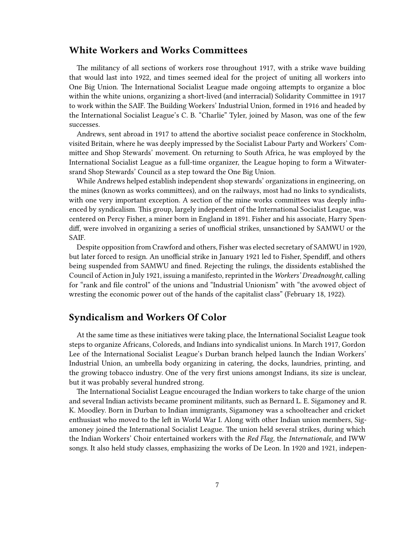## <span id="page-6-0"></span>**White Workers and Works Committees**

The militancy of all sections of workers rose throughout 1917, with a strike wave building that would last into 1922, and times seemed ideal for the project of uniting all workers into One Big Union. The International Socialist League made ongoing attempts to organize a bloc within the white unions, organizing a short-lived (and interracial) Solidarity Committee in 1917 to work within the SAIF. The Building Workers' Industrial Union, formed in 1916 and headed by the International Socialist League's C. B. "Charlie" Tyler, joined by Mason, was one of the few successes.

Andrews, sent abroad in 1917 to attend the abortive socialist peace conference in Stockholm, visited Britain, where he was deeply impressed by the Socialist Labour Party and Workers' Committee and Shop Stewards' movement. On returning to South Africa, he was employed by the International Socialist League as a full-time organizer, the League hoping to form a Witwatersrand Shop Stewards' Council as a step toward the One Big Union.

While Andrews helped establish independent shop stewards' organizations in engineering, on the mines (known as works committees), and on the railways, most had no links to syndicalists, with one very important exception. A section of the mine works committees was deeply influenced by syndicalism. This group, largely independent of the International Socialist League, was centered on Percy Fisher, a miner born in England in 1891. Fisher and his associate, Harry Spendiff, were involved in organizing a series of unofficial strikes, unsanctioned by SAMWU or the SAIF.

Despite opposition from Crawford and others, Fisher was elected secretary of SAMWU in 1920, but later forced to resign. An unofficial strike in January 1921 led to Fisher, Spendiff, and others being suspended from SAMWU and fined. Rejecting the rulings, the dissidents established the Council of Action in July 1921, issuing a manifesto, reprinted in the *Workers' Dreadnought*, calling for "rank and file control" of the unions and "Industrial Unionism" with "the avowed object of wresting the economic power out of the hands of the capitalist class" (February 18, 1922).

## <span id="page-6-1"></span>**Syndicalism and Workers Of Color**

At the same time as these initiatives were taking place, the International Socialist League took steps to organize Africans, Coloreds, and Indians into syndicalist unions. In March 1917, Gordon Lee of the International Socialist League's Durban branch helped launch the Indian Workers' Industrial Union, an umbrella body organizing in catering, the docks, laundries, printing, and the growing tobacco industry. One of the very first unions amongst Indians, its size is unclear, but it was probably several hundred strong.

The International Socialist League encouraged the Indian workers to take charge of the union and several Indian activists became prominent militants, such as Bernard L. E. Sigamoney and R. K. Moodley. Born in Durban to Indian immigrants, Sigamoney was a schoolteacher and cricket enthusiast who moved to the left in World War I. Along with other Indian union members, Sigamoney joined the International Socialist League. The union held several strikes, during which the Indian Workers' Choir entertained workers with the *Red Flag*, the *Internationale*, and IWW songs. It also held study classes, emphasizing the works of De Leon. In 1920 and 1921, indepen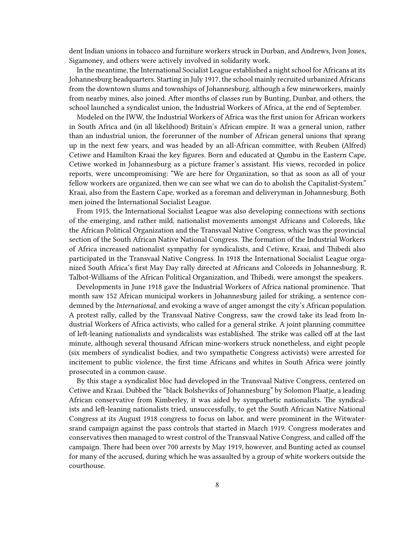dent Indian unions in tobacco and furniture workers struck in Durban, and Andrews, Ivon Jones, Sigamoney, and others were actively involved in solidarity work.

In the meantime, the International Socialist League established a night school for Africans at its Johannesburg headquarters. Starting in July 1917, the school mainly recruited urbanized Africans from the downtown slums and townships of Johannesburg, although a few mineworkers, mainly from nearby mines, also joined. After months of classes run by Bunting, Dunbar, and others, the school launched a syndicalist union, the Industrial Workers of Africa, at the end of September.

Modeled on the IWW, the Industrial Workers of Africa was the first union for African workers in South Africa and (in all likelihood) Britain's African empire. It was a general union, rather than an industrial union, the forerunner of the number of African general unions that sprang up in the next few years, and was headed by an all-African committee, with Reuben (Alfred) Cetiwe and Hamilton Kraai the key figures. Born and educated at Qumbu in the Eastern Cape, Cetiwe worked in Johannesburg as a picture framer's assistant. His views, recorded in police reports, were uncompromising: "We are here for Organization, so that as soon as all of your fellow workers are organized, then we can see what we can do to abolish the Capitalist-System." Kraai, also from the Eastern Cape, worked as a foreman and deliveryman in Johannesburg. Both men joined the International Socialist League.

From 1915, the International Socialist League was also developing connections with sections of the emerging, and rather mild, nationalist movements amongst Africans and Coloreds, like the African Political Organization and the Transvaal Native Congress, which was the provincial section of the South African Native National Congress. The formation of the Industrial Workers of Africa increased nationalist sympathy for syndicalists, and Cetiwe, Kraai, and Thibedi also participated in the Transvaal Native Congress. In 1918 the International Socialist League organized South Africa's first May Day rally directed at Africans and Coloreds in Johannesburg. R. Talbot-Williams of the African Political Organization, and Thibedi, were amongst the speakers.

Developments in June 1918 gave the Industrial Workers of Africa national prominence. That month saw 152 African municipal workers in Johannesburg jailed for striking, a sentence condemned by the *International*, and evoking a wave of anger amongst the city's African population. A protest rally, called by the Transvaal Native Congress, saw the crowd take its lead from Industrial Workers of Africa activists, who called for a general strike. A joint planning committee of left-leaning nationalists and syndicalists was established. The strike was called off at the last minute, although several thousand African mine-workers struck nonetheless, and eight people (six members of syndicalist bodies, and two sympathetic Congress activists) were arrested for incitement to public violence, the first time Africans and whites in South Africa were jointly prosecuted in a common cause.

By this stage a syndicalist bloc had developed in the Transvaal Native Congress, centered on Cetiwe and Kraai. Dubbed the "black Bolsheviks of Johannesburg" by Solomon Plaatje, a leading African conservative from Kimberley, it was aided by sympathetic nationalists. The syndicalists and left-leaning nationalists tried, unsuccessfully, to get the South African Native National Congress at its August 1918 congress to focus on labor, and were prominent in the Witwatersrand campaign against the pass controls that started in March 1919. Congress moderates and conservatives then managed to wrest control of the Transvaal Native Congress, and called off the campaign. There had been over 700 arrests by May 1919, however, and Bunting acted as counsel for many of the accused, during which he was assaulted by a group of white workers outside the courthouse.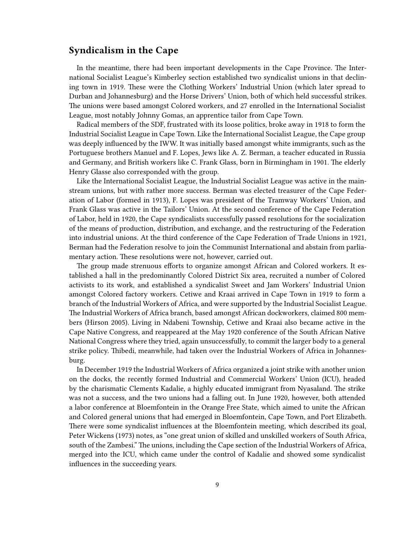## <span id="page-8-0"></span>**Syndicalism in the Cape**

In the meantime, there had been important developments in the Cape Province. The International Socialist League's Kimberley section established two syndicalist unions in that declining town in 1919. These were the Clothing Workers' Industrial Union (which later spread to Durban and Johannesburg) and the Horse Drivers' Union, both of which held successful strikes. The unions were based amongst Colored workers, and 27 enrolled in the International Socialist League, most notably Johnny Gomas, an apprentice tailor from Cape Town.

Radical members of the SDF, frustrated with its loose politics, broke away in 1918 to form the Industrial Socialist League in Cape Town. Like the International Socialist League, the Cape group was deeply influenced by the IWW. It was initially based amongst white immigrants, such as the Portuguese brothers Manuel and F. Lopes, Jews like A. Z. Berman, a teacher educated in Russia and Germany, and British workers like C. Frank Glass, born in Birmingham in 1901. The elderly Henry Glasse also corresponded with the group.

Like the International Socialist League, the Industrial Socialist League was active in the mainstream unions, but with rather more success. Berman was elected treasurer of the Cape Federation of Labor (formed in 1913), F. Lopes was president of the Tramway Workers' Union, and Frank Glass was active in the Tailors' Union. At the second conference of the Cape Federation of Labor, held in 1920, the Cape syndicalists successfully passed resolutions for the socialization of the means of production, distribution, and exchange, and the restructuring of the Federation into industrial unions. At the third conference of the Cape Federation of Trade Unions in 1921, Berman had the Federation resolve to join the Communist International and abstain from parliamentary action. These resolutions were not, however, carried out.

The group made strenuous efforts to organize amongst African and Colored workers. It established a hall in the predominantly Colored District Six area, recruited a number of Colored activists to its work, and established a syndicalist Sweet and Jam Workers' Industrial Union amongst Colored factory workers. Cetiwe and Kraai arrived in Cape Town in 1919 to form a branch of the Industrial Workers of Africa, and were supported by the Industrial Socialist League. The Industrial Workers of Africa branch, based amongst African dockworkers, claimed 800 members (Hirson 2005). Living in Ndabeni Township, Cetiwe and Kraai also became active in the Cape Native Congress, and reappeared at the May 1920 conference of the South African Native National Congress where they tried, again unsuccessfully, to commit the larger body to a general strike policy. Thibedi, meanwhile, had taken over the Industrial Workers of Africa in Johannesburg.

In December 1919 the Industrial Workers of Africa organized a joint strike with another union on the docks, the recently formed Industrial and Commercial Workers' Union (ICU), headed by the charismatic Clements Kadalie, a highly educated immigrant from Nyasaland. The strike was not a success, and the two unions had a falling out. In June 1920, however, both attended a labor conference at Bloemfontein in the Orange Free State, which aimed to unite the African and Colored general unions that had emerged in Bloemfontein, Cape Town, and Port Elizabeth. There were some syndicalist influences at the Bloemfontein meeting, which described its goal, Peter Wickens (1973) notes, as "one great union of skilled and unskilled workers of South Africa, south of the Zambesi." The unions, including the Cape section of the Industrial Workers of Africa, merged into the ICU, which came under the control of Kadalie and showed some syndicalist influences in the succeeding years.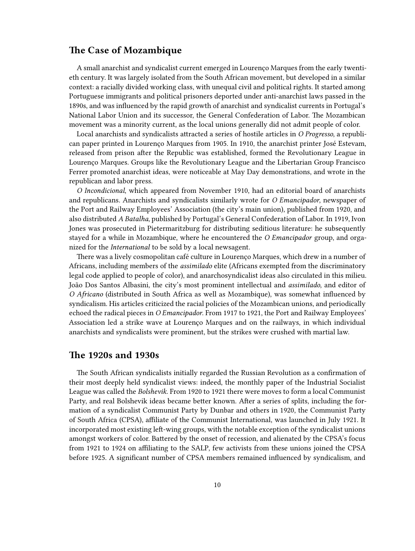## <span id="page-9-0"></span>**The Case of Mozambique**

A small anarchist and syndicalist current emerged in Lourenço Marques from the early twentieth century. It was largely isolated from the South African movement, but developed in a similar context: a racially divided working class, with unequal civil and political rights. It started among Portuguese immigrants and political prisoners deported under anti-anarchist laws passed in the 1890s, and was influenced by the rapid growth of anarchist and syndicalist currents in Portugal's National Labor Union and its successor, the General Confederation of Labor. The Mozambican movement was a minority current, as the local unions generally did not admit people of color.

Local anarchists and syndicalists attracted a series of hostile articles in *O Progresso*, a republican paper printed in Lourenço Marques from 1905. In 1910, the anarchist printer José Estevam, released from prison after the Republic was established, formed the Revolutionary League in Lourenço Marques. Groups like the Revolutionary League and the Libertarian Group Francisco Ferrer promoted anarchist ideas, were noticeable at May Day demonstrations, and wrote in the republican and labor press.

*O Incondicional*, which appeared from November 1910, had an editorial board of anarchists and republicans. Anarchists and syndicalists similarly wrote for *O Emancipador*, newspaper of the Port and Railway Employees' Association (the city's main union), published from 1920, and also distributed *A Batalha*, published by Portugal's General Confederation of Labor. In 1919, Ivon Jones was prosecuted in Pietermaritzburg for distributing seditious literature: he subsequently stayed for a while in Mozambique, where he encountered the *O Emancipador* group, and organized for the *International* to be sold by a local newsagent.

There was a lively cosmopolitan café culture in Lourenço Marques, which drew in a number of Africans, including members of the *assimilado* elite (Africans exempted from the discriminatory legal code applied to people of color), and anarchosyndicalist ideas also circulated in this milieu. João Dos Santos Albasini, the city's most prominent intellectual and *assimilado*, and editor of *O Africano* (distributed in South Africa as well as Mozambique), was somewhat influenced by syndicalism. His articles criticized the racial policies of the Mozambican unions, and periodically echoed the radical pieces in *O Emancipador*. From 1917 to 1921, the Port and Railway Employees' Association led a strike wave at Lourenço Marques and on the railways, in which individual anarchists and syndicalists were prominent, but the strikes were crushed with martial law.

#### <span id="page-9-1"></span>**The 1920s and 1930s**

The South African syndicalists initially regarded the Russian Revolution as a confirmation of their most deeply held syndicalist views: indeed, the monthly paper of the Industrial Socialist League was called the *Bolshevik*. From 1920 to 1921 there were moves to form a local Communist Party, and real Bolshevik ideas became better known. After a series of splits, including the formation of a syndicalist Communist Party by Dunbar and others in 1920, the Communist Party of South Africa (CPSA), affiliate of the Communist International, was launched in July 1921. It incorporated most existing left-wing groups, with the notable exception of the syndicalist unions amongst workers of color. Battered by the onset of recession, and alienated by the CPSA's focus from 1921 to 1924 on affiliating to the SALP, few activists from these unions joined the CPSA before 1925. A significant number of CPSA members remained influenced by syndicalism, and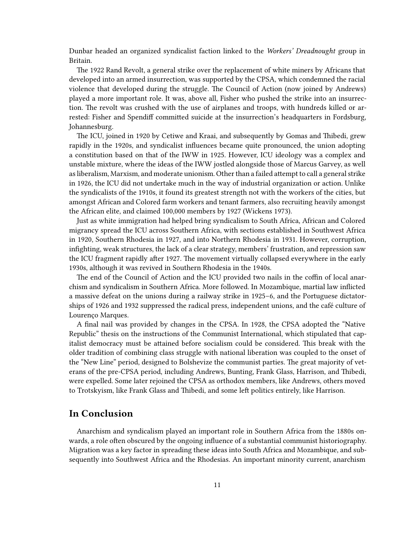Dunbar headed an organized syndicalist faction linked to the *Workers' Dreadnought* group in Britain.

The 1922 Rand Revolt, a general strike over the replacement of white miners by Africans that developed into an armed insurrection, was supported by the CPSA, which condemned the racial violence that developed during the struggle. The Council of Action (now joined by Andrews) played a more important role. It was, above all, Fisher who pushed the strike into an insurrection. The revolt was crushed with the use of airplanes and troops, with hundreds killed or arrested: Fisher and Spendiff committed suicide at the insurrection's headquarters in Fordsburg, Johannesburg.

The ICU, joined in 1920 by Cetiwe and Kraai, and subsequently by Gomas and Thibedi, grew rapidly in the 1920s, and syndicalist influences became quite pronounced, the union adopting a constitution based on that of the IWW in 1925. However, ICU ideology was a complex and unstable mixture, where the ideas of the IWW jostled alongside those of Marcus Garvey, as well as liberalism, Marxism, and moderate unionism. Other than a failed attempt to call a general strike in 1926, the ICU did not undertake much in the way of industrial organization or action. Unlike the syndicalists of the 1910s, it found its greatest strength not with the workers of the cities, but amongst African and Colored farm workers and tenant farmers, also recruiting heavily amongst the African elite, and claimed 100,000 members by 1927 (Wickens 1973).

Just as white immigration had helped bring syndicalism to South Africa, African and Colored migrancy spread the ICU across Southern Africa, with sections established in Southwest Africa in 1920, Southern Rhodesia in 1927, and into Northern Rhodesia in 1931. However, corruption, infighting, weak structures, the lack of a clear strategy, members' frustration, and repression saw the ICU fragment rapidly after 1927. The movement virtually collapsed everywhere in the early 1930s, although it was revived in Southern Rhodesia in the 1940s.

The end of the Council of Action and the ICU provided two nails in the coffin of local anarchism and syndicalism in Southern Africa. More followed. In Mozambique, martial law inflicted a massive defeat on the unions during a railway strike in 1925–6, and the Portuguese dictatorships of 1926 and 1932 suppressed the radical press, independent unions, and the café culture of Lourenço Marques.

A final nail was provided by changes in the CPSA. In 1928, the CPSA adopted the "Native Republic" thesis on the instructions of the Communist International, which stipulated that capitalist democracy must be attained before socialism could be considered. This break with the older tradition of combining class struggle with national liberation was coupled to the onset of the "New Line" period, designed to Bolshevize the communist parties. The great majority of veterans of the pre-CPSA period, including Andrews, Bunting, Frank Glass, Harrison, and Thibedi, were expelled. Some later rejoined the CPSA as orthodox members, like Andrews, others moved to Trotskyism, like Frank Glass and Thibedi, and some left politics entirely, like Harrison.

### <span id="page-10-0"></span>**In Conclusion**

Anarchism and syndicalism played an important role in Southern Africa from the 1880s onwards, a role often obscured by the ongoing influence of a substantial communist historiography. Migration was a key factor in spreading these ideas into South Africa and Mozambique, and subsequently into Southwest Africa and the Rhodesias. An important minority current, anarchism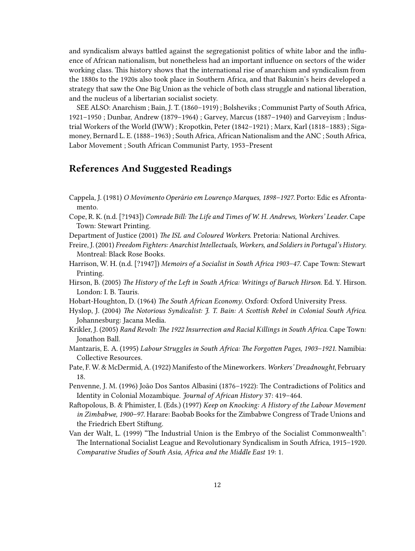and syndicalism always battled against the segregationist politics of white labor and the influence of African nationalism, but nonetheless had an important influence on sectors of the wider working class. This history shows that the international rise of anarchism and syndicalism from the 1880s to the 1920s also took place in Southern Africa, and that Bakunin's heirs developed a strategy that saw the One Big Union as the vehicle of both class struggle and national liberation, and the nucleus of a libertarian socialist society.

SEE ALSO: Anarchism ; Bain, J. T. (1860–1919) ; Bolsheviks ; Communist Party of South Africa, 1921–1950 ; Dunbar, Andrew (1879–1964) ; Garvey, Marcus (1887–1940) and Garveyism ; Industrial Workers of the World (IWW) ; Kropotkin, Peter (1842–1921) ; Marx, Karl (1818–1883) ; Sigamoney, Bernard L. E. (1888–1963) ; South Africa, African Nationalism and the ANC ; South Africa, Labor Movement ; South African Communist Party, 1953–Present

## <span id="page-11-0"></span>**References And Suggested Readings**

- Cappela, J. (1981) *O Movimento Operário em Lourenço Marques, 1898–1927*. Porto: Edic es Afrontamento.
- Cope, R. K. (n.d. [?1943]) *Comrade Bill: The Life and Times of W. H. Andrews, Workers' Leader*. Cape Town: Stewart Printing.
- Department of Justice (2001) *The ISL and Coloured Workers*. Pretoria: National Archives.
- Freire, J. (2001) *Freedom Fighters: Anarchist Intellectuals, Workers, and Soldiers in Portugal's History*. Montreal: Black Rose Books.
- Harrison, W. H. (n.d. [?1947]) *Memoirs of a Socialist in South Africa 1903–47*. Cape Town: Stewart Printing.
- Hirson, B. (2005) *The History of the Left in South Africa: Writings of Baruch Hirson*. Ed. Y. Hirson. London: I. B. Tauris.
- Hobart-Houghton, D. (1964) *The South African Economy*. Oxford: Oxford University Press.
- Hyslop, J. (2004) *The Notorious Syndicalist: J. T. Bain: A Scottish Rebel in Colonial South Africa*. Johannesburg: Jacana Media.
- Krikler, J. (2005) *Rand Revolt: The 1922 Insurrection and Racial Killings in South Africa*. Cape Town: Jonathon Ball.
- Mantzaris, E. A. (1995) *Labour Struggles in South Africa: The Forgotten Pages, 1903–1921*. Namibia: Collective Resources.
- Pate, F. W. & McDermid, A. (1922) Manifesto of the Mineworkers. *Workers' Dreadnought*, February 18.
- Penvenne, J. M. (1996) João Dos Santos Albasini (1876–1922): The Contradictions of Politics and Identity in Colonial Mozambique. *Journal of African History* 37: 419–464.
- Raftopolous, B. & Phimister, I. (Eds.) (1997) *Keep on Knocking: A History of the Labour Movement in Zimbabwe, 1900–97*. Harare: Baobab Books for the Zimbabwe Congress of Trade Unions and the Friedrich Ebert Stiftung.
- Van der Walt, L. (1999) "The Industrial Union is the Embryo of the Socialist Commonwealth": The International Socialist League and Revolutionary Syndicalism in South Africa, 1915–1920. *Comparative Studies of South Asia, Africa and the Middle East* 19: 1.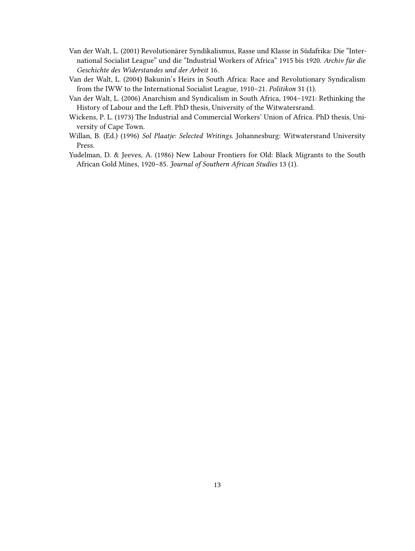- Van der Walt, L. (2001) Revolutionärer Syndikalismus, Rasse und Klasse in Südafrika: Die "International Socialist League" und die "Industrial Workers of Africa" 1915 bis 1920. *Archiv für die Geschichte des Widerstandes und der Arbeit* 16.
- Van der Walt, L. (2004) Bakunin's Heirs in South Africa: Race and Revolutionary Syndicalism from the IWW to the International Socialist League, 1910–21. *Politikon* 31 (1).
- Van der Walt, L. (2006) Anarchism and Syndicalism in South Africa, 1904–1921: Rethinking the History of Labour and the Left. PhD thesis, University of the Witwatersrand.
- Wickens, P. L. (1973) The Industrial and Commercial Workers' Union of Africa. PhD thesis, University of Cape Town.
- Willan, B. (Ed.) (1996) *Sol Plaatje: Selected Writings*. Johannesburg: Witwatersrand University Press.
- Yudelman, D. & Jeeves, A. (1986) New Labour Frontiers for Old: Black Migrants to the South African Gold Mines, 1920–85. *Journal of Southern African Studies* 13 (1).